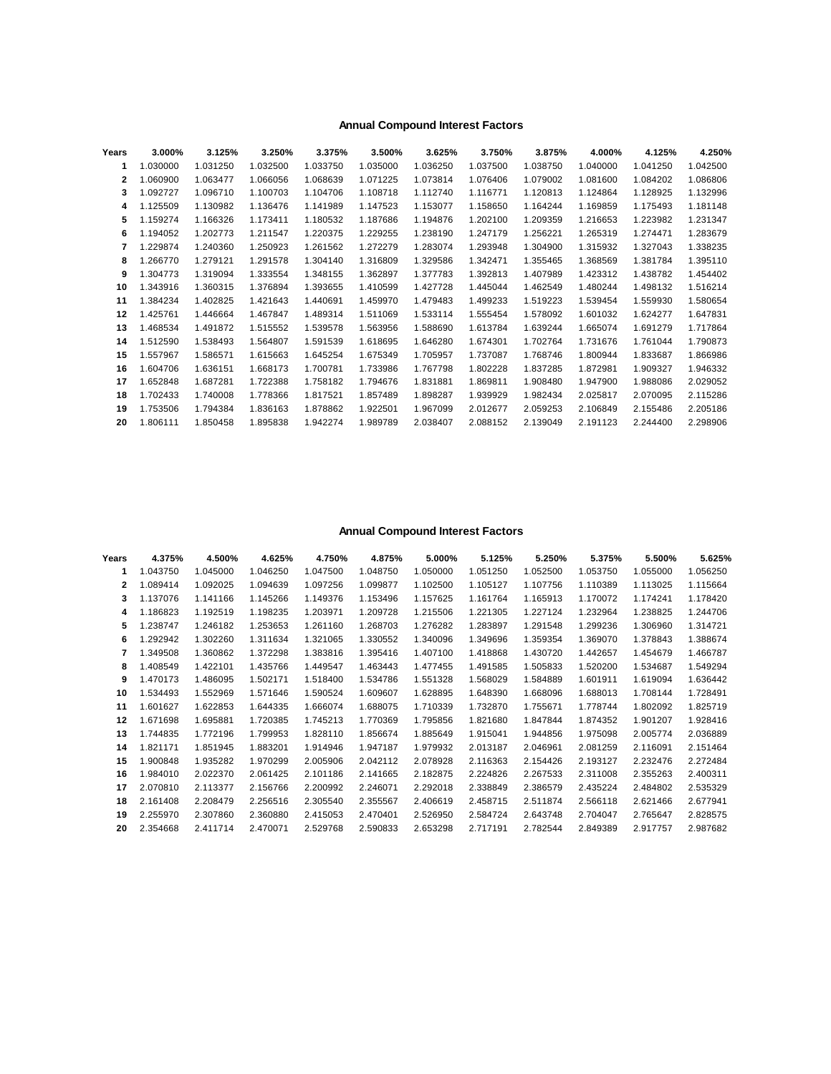| Years        | 3.000%   | 3.125%   | 3.250%   | 3.375%   | 3.500%   | 3.625%   | 3.750%   | 3.875%   | 4.000%   | 4.125%   | 4.250%   |
|--------------|----------|----------|----------|----------|----------|----------|----------|----------|----------|----------|----------|
| 1            | 1.030000 | 1.031250 | 1.032500 | 1.033750 | 1.035000 | 1.036250 | 1.037500 | 1.038750 | 1.040000 | 1.041250 | 1.042500 |
| $\mathbf{2}$ | 1.060900 | 1.063477 | 1.066056 | 1.068639 | 1.071225 | 1.073814 | 1.076406 | 1.079002 | 1.081600 | 1.084202 | 1.086806 |
| 3            | 1.092727 | 1.096710 | 1.100703 | 1.104706 | 1.108718 | 1.112740 | 1.116771 | 1.120813 | 1.124864 | 1.128925 | 1.132996 |
| 4            | 1.125509 | 1.130982 | 1.136476 | 1.141989 | 1.147523 | 1.153077 | 1.158650 | 1.164244 | 1.169859 | 1.175493 | 1.181148 |
| 5            | 1.159274 | 1.166326 | 1.173411 | 1.180532 | 1.187686 | 1.194876 | 1.202100 | 1.209359 | 1.216653 | 1.223982 | 1.231347 |
| 6            | 1.194052 | 1.202773 | 1.211547 | 1.220375 | 1.229255 | 1.238190 | 1.247179 | 1.256221 | 1.265319 | 1.274471 | 1.283679 |
| 7            | 1.229874 | 1.240360 | 1.250923 | 1.261562 | 1.272279 | 1.283074 | 1.293948 | 1.304900 | 1.315932 | 1.327043 | 1.338235 |
| 8            | 1.266770 | 1.279121 | 1.291578 | 1.304140 | 1.316809 | 1.329586 | 1.342471 | 1.355465 | 1.368569 | 1.381784 | 1.395110 |
| 9            | 1.304773 | 1.319094 | 1.333554 | 1.348155 | 1.362897 | 1.377783 | 1.392813 | 1.407989 | 1.423312 | 1.438782 | 1.454402 |
| 10           | 1.343916 | 1.360315 | 1.376894 | 1.393655 | 1.410599 | 1.427728 | 1.445044 | 1.462549 | 1.480244 | 1.498132 | 1.516214 |
| 11           | 1.384234 | 1.402825 | 1.421643 | 1.440691 | 1.459970 | 1.479483 | 1.499233 | 1.519223 | 1.539454 | 1.559930 | 1.580654 |
| 12           | 1.425761 | 1.446664 | 1.467847 | 1.489314 | 1.511069 | 1.533114 | 1.555454 | 1.578092 | 1.601032 | 1.624277 | 1.647831 |
| 13           | 1.468534 | 1.491872 | 1.515552 | 1.539578 | 1.563956 | 1.588690 | 1.613784 | 1.639244 | 1.665074 | 1.691279 | 1.717864 |
| 14           | 1.512590 | 1.538493 | 1.564807 | 1.591539 | 1.618695 | 1.646280 | 1.674301 | 1.702764 | 1.731676 | 1.761044 | 1.790873 |
| 15           | 1.557967 | 1.586571 | 1.615663 | 1.645254 | 1.675349 | 1.705957 | 1.737087 | 1.768746 | 1.800944 | 1.833687 | 1.866986 |
| 16           | 1.604706 | 1.636151 | 1.668173 | 1.700781 | 1.733986 | 1.767798 | 1.802228 | 1.837285 | 1.872981 | 1.909327 | 1.946332 |
| 17           | 1.652848 | 1.687281 | 1.722388 | 1.758182 | 1.794676 | 1.831881 | 1.869811 | 1.908480 | 1.947900 | 1.988086 | 2.029052 |
| 18           | 1.702433 | 1.740008 | 1.778366 | 1.817521 | 1.857489 | 1.898287 | 1.939929 | 1.982434 | 2.025817 | 2.070095 | 2.115286 |
| 19           | 1.753506 | 1.794384 | 1.836163 | 1.878862 | 1.922501 | 1.967099 | 2.012677 | 2.059253 | 2.106849 | 2.155486 | 2.205186 |
| 20           | 1.806111 | 1.850458 | 1.895838 | 1.942274 | 1.989789 | 2.038407 | 2.088152 | 2.139049 | 2.191123 | 2.244400 | 2.298906 |
|              |          |          |          |          |          |          |          |          |          |          |          |

| Years | 4.375%   | 4.500%   | 4.625%   | 4.750%   | 4.875%   | 5.000%   | 5.125%   | 5.250%   | 5.375%   | 5.500%   | 5.625%   |
|-------|----------|----------|----------|----------|----------|----------|----------|----------|----------|----------|----------|
| 1     | 1.043750 | 1.045000 | 1.046250 | 1.047500 | 1.048750 | 1.050000 | 1.051250 | 1.052500 | 1.053750 | 1.055000 | 1.056250 |
| 2     | 1.089414 | 1.092025 | 1.094639 | 1.097256 | 1.099877 | 1.102500 | 1.105127 | 1.107756 | 1.110389 | 1.113025 | 1.115664 |
| 3     | 1.137076 | 1.141166 | 1.145266 | 1.149376 | 1.153496 | 1.157625 | 1.161764 | 1.165913 | 1.170072 | 1.174241 | 1.178420 |
| 4     | 1.186823 | 1.192519 | 1.198235 | 1.203971 | 1.209728 | 1.215506 | 1.221305 | 1.227124 | 1.232964 | 1.238825 | 1.244706 |
| 5     | 1.238747 | 1.246182 | 1.253653 | 1.261160 | 1.268703 | 1.276282 | 1.283897 | 1.291548 | 1.299236 | 1.306960 | 1.314721 |
| 6     | 1.292942 | 1.302260 | 1.311634 | 1.321065 | 1.330552 | 1.340096 | 1.349696 | 1.359354 | 1.369070 | 1.378843 | 1.388674 |
| 7     | 1.349508 | 1.360862 | 1.372298 | 1.383816 | 1.395416 | 1.407100 | 1.418868 | 1.430720 | 1.442657 | 1.454679 | 1.466787 |
| 8     | 1.408549 | 1.422101 | 1.435766 | 1.449547 | 1.463443 | 1.477455 | 1.491585 | 1.505833 | 1.520200 | 1.534687 | 1.549294 |
| 9     | 1.470173 | 1.486095 | 1.502171 | 1.518400 | 1.534786 | 1.551328 | 1.568029 | 1.584889 | 1.601911 | 1.619094 | 1.636442 |
| 10    | 1.534493 | 1.552969 | 1.571646 | 1.590524 | 1.609607 | 1.628895 | 1.648390 | 1.668096 | 1.688013 | 1.708144 | 1.728491 |
| 11    | 1.601627 | 1.622853 | 1.644335 | 1.666074 | 1.688075 | 1.710339 | 1.732870 | 1.755671 | 1.778744 | 1.802092 | 1.825719 |
| 12    | 1.671698 | 1.695881 | 1.720385 | 1.745213 | 1.770369 | 1.795856 | 1.821680 | 1.847844 | 1.874352 | 1.901207 | 1.928416 |
| 13    | 1.744835 | 1.772196 | 1.799953 | 1.828110 | 1.856674 | 1.885649 | 1.915041 | 1.944856 | 1.975098 | 2.005774 | 2.036889 |
| 14    | 1.821171 | 1.851945 | 1.883201 | 1.914946 | 1.947187 | 1.979932 | 2.013187 | 2.046961 | 2.081259 | 2.116091 | 2.151464 |
| 15    | 1.900848 | 1.935282 | 1.970299 | 2.005906 | 2.042112 | 2.078928 | 2.116363 | 2.154426 | 2.193127 | 2.232476 | 2.272484 |
| 16    | 1.984010 | 2.022370 | 2.061425 | 2.101186 | 2.141665 | 2.182875 | 2.224826 | 2.267533 | 2.311008 | 2.355263 | 2.400311 |
| 17    | 2.070810 | 2.113377 | 2.156766 | 2.200992 | 2.246071 | 2.292018 | 2.338849 | 2.386579 | 2.435224 | 2.484802 | 2.535329 |
| 18    | 2.161408 | 2.208479 | 2.256516 | 2.305540 | 2.355567 | 2.406619 | 2.458715 | 2.511874 | 2.566118 | 2.621466 | 2.677941 |
| 19    | 2.255970 | 2.307860 | 2.360880 | 2.415053 | 2.470401 | 2.526950 | 2.584724 | 2.643748 | 2.704047 | 2.765647 | 2.828575 |
| 20    | 2.354668 | 2.411714 | 2.470071 | 2.529768 | 2.590833 | 2.653298 | 2.717191 | 2.782544 | 2.849389 | 2.917757 | 2.987682 |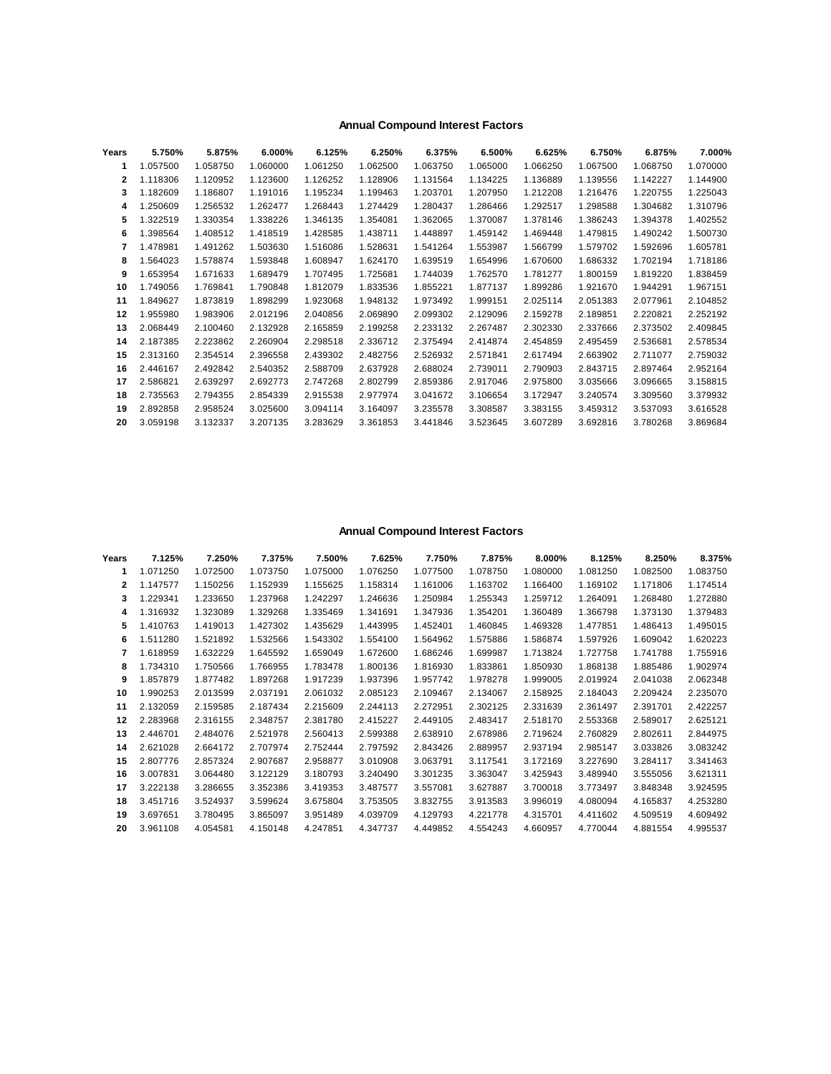| Years        | 5.750%   | 5.875%   | 6.000%   | 6.125%   | 6.250%   | 6.375%   | 6.500%   | 6.625%   | 6.750%   | 6.875%   | 7.000%   |
|--------------|----------|----------|----------|----------|----------|----------|----------|----------|----------|----------|----------|
| 1            | 1.057500 | 1.058750 | 1.060000 | 1.061250 | 1.062500 | 1.063750 | 1.065000 | 1.066250 | 1.067500 | 1.068750 | 1.070000 |
| $\mathbf{2}$ | 1.118306 | 1.120952 | 1.123600 | 1.126252 | 1.128906 | 1.131564 | 1.134225 | 1.136889 | 1.139556 | 1.142227 | 1.144900 |
| 3            | 1.182609 | 1.186807 | 1.191016 | 1.195234 | 1.199463 | 1.203701 | 1.207950 | 1.212208 | 1.216476 | 1.220755 | 1.225043 |
| 4            | 1.250609 | 1.256532 | 1.262477 | 1.268443 | 1.274429 | 1.280437 | 1.286466 | 1.292517 | 1.298588 | 1.304682 | 1.310796 |
| 5            | 1.322519 | 1.330354 | 1.338226 | 1.346135 | 1.354081 | 1.362065 | 1.370087 | 1.378146 | 1.386243 | 1.394378 | 1.402552 |
| 6            | 1.398564 | 1.408512 | 1.418519 | 1.428585 | 1.438711 | 1.448897 | 1.459142 | 1.469448 | 1.479815 | 1.490242 | 1.500730 |
| 7            | 1.478981 | 1.491262 | 1.503630 | 1.516086 | 1.528631 | 1.541264 | 1.553987 | 1.566799 | 1.579702 | 1.592696 | 1.605781 |
| 8            | 1.564023 | 1.578874 | 1.593848 | 1.608947 | 1.624170 | 1.639519 | 1.654996 | 1.670600 | 1.686332 | 1.702194 | 1.718186 |
| 9            | 1.653954 | 1.671633 | 1.689479 | 1.707495 | 1.725681 | 1.744039 | 1.762570 | 1.781277 | 1.800159 | 1.819220 | 1.838459 |
| 10           | 1.749056 | 1.769841 | 1.790848 | 1.812079 | 1.833536 | 1.855221 | 1.877137 | 1.899286 | 1.921670 | 1.944291 | 1.967151 |
| 11           | 1.849627 | 1.873819 | 1.898299 | 1.923068 | 1.948132 | 1.973492 | 1.999151 | 2.025114 | 2.051383 | 2.077961 | 2.104852 |
| 12           | 1.955980 | 1.983906 | 2.012196 | 2.040856 | 2.069890 | 2.099302 | 2.129096 | 2.159278 | 2.189851 | 2.220821 | 2.252192 |
| 13           | 2.068449 | 2.100460 | 2.132928 | 2.165859 | 2.199258 | 2.233132 | 2.267487 | 2.302330 | 2.337666 | 2.373502 | 2.409845 |
| 14           | 2.187385 | 2.223862 | 2.260904 | 2.298518 | 2.336712 | 2.375494 | 2.414874 | 2.454859 | 2.495459 | 2.536681 | 2.578534 |
| 15           | 2.313160 | 2.354514 | 2.396558 | 2.439302 | 2.482756 | 2.526932 | 2.571841 | 2.617494 | 2.663902 | 2.711077 | 2.759032 |
| 16           | 2.446167 | 2.492842 | 2.540352 | 2.588709 | 2.637928 | 2.688024 | 2.739011 | 2.790903 | 2.843715 | 2.897464 | 2.952164 |
| 17           | 2.586821 | 2.639297 | 2.692773 | 2.747268 | 2.802799 | 2.859386 | 2.917046 | 2.975800 | 3.035666 | 3.096665 | 3.158815 |
| 18           | 2.735563 | 2.794355 | 2.854339 | 2.915538 | 2.977974 | 3.041672 | 3.106654 | 3.172947 | 3.240574 | 3.309560 | 3.379932 |
| 19           | 2.892858 | 2.958524 | 3.025600 | 3.094114 | 3.164097 | 3.235578 | 3.308587 | 3.383155 | 3.459312 | 3.537093 | 3.616528 |
| 20           | 3.059198 | 3.132337 | 3.207135 | 3.283629 | 3.361853 | 3.441846 | 3.523645 | 3.607289 | 3.692816 | 3.780268 | 3.869684 |
|              |          |          |          |          |          |          |          |          |          |          |          |

| Years | 7.125%   | 7.250%   | 7.375%   | 7.500%   | 7.625%   | 7.750%   | 7.875%   | 8.000%   | 8.125%   | 8.250%   | 8.375%   |
|-------|----------|----------|----------|----------|----------|----------|----------|----------|----------|----------|----------|
| 1     | 1.071250 | 1.072500 | 1.073750 | 1.075000 | 1.076250 | 1.077500 | 1.078750 | 1.080000 | 1.081250 | 1.082500 | 1.083750 |
| 2     | 1.147577 | 1.150256 | 1.152939 | 1.155625 | 1.158314 | 1.161006 | 1.163702 | 1.166400 | 1.169102 | 1.171806 | 1.174514 |
| 3     | 1.229341 | 1.233650 | 1.237968 | 1.242297 | 1.246636 | 1.250984 | 1.255343 | 1.259712 | 1.264091 | 1.268480 | 1.272880 |
| 4     | 1.316932 | 1.323089 | 1.329268 | 1.335469 | 1.341691 | 1.347936 | 1.354201 | 1.360489 | 1.366798 | 1.373130 | 1.379483 |
| 5     | 1.410763 | 1.419013 | 1.427302 | 1.435629 | 1.443995 | 1.452401 | 1.460845 | 1.469328 | 1.477851 | 1.486413 | 1.495015 |
| 6     | 1.511280 | 1.521892 | 1.532566 | 1.543302 | 1.554100 | 1.564962 | 1.575886 | 1.586874 | 1.597926 | 1.609042 | 1.620223 |
| 7     | 1.618959 | 1.632229 | 1.645592 | 1.659049 | 1.672600 | 1.686246 | 1.699987 | 1.713824 | 1.727758 | 1.741788 | 1.755916 |
| 8     | 1.734310 | 1.750566 | 1.766955 | 1.783478 | 1.800136 | 1.816930 | 1.833861 | 1.850930 | 1.868138 | 1.885486 | 1.902974 |
| 9     | 1.857879 | 1.877482 | 1.897268 | 1.917239 | 1.937396 | 1.957742 | 1.978278 | 1.999005 | 2.019924 | 2.041038 | 2.062348 |
| 10    | 1.990253 | 2.013599 | 2.037191 | 2.061032 | 2.085123 | 2.109467 | 2.134067 | 2.158925 | 2.184043 | 2.209424 | 2.235070 |
| 11    | 2.132059 | 2.159585 | 2.187434 | 2.215609 | 2.244113 | 2.272951 | 2.302125 | 2.331639 | 2.361497 | 2.391701 | 2.422257 |
| 12    | 2.283968 | 2.316155 | 2.348757 | 2.381780 | 2.415227 | 2.449105 | 2.483417 | 2.518170 | 2.553368 | 2.589017 | 2.625121 |
| 13    | 2.446701 | 2.484076 | 2.521978 | 2.560413 | 2.599388 | 2.638910 | 2.678986 | 2.719624 | 2.760829 | 2.802611 | 2.844975 |
| 14    | 2.621028 | 2.664172 | 2.707974 | 2.752444 | 2.797592 | 2.843426 | 2.889957 | 2.937194 | 2.985147 | 3.033826 | 3.083242 |
| 15    | 2.807776 | 2.857324 | 2.907687 | 2.958877 | 3.010908 | 3.063791 | 3.117541 | 3.172169 | 3.227690 | 3.284117 | 3.341463 |
| 16    | 3.007831 | 3.064480 | 3.122129 | 3.180793 | 3.240490 | 3.301235 | 3.363047 | 3.425943 | 3.489940 | 3.555056 | 3.621311 |
| 17    | 3.222138 | 3.286655 | 3.352386 | 3.419353 | 3.487577 | 3.557081 | 3.627887 | 3.700018 | 3.773497 | 3.848348 | 3.924595 |
| 18    | 3.451716 | 3.524937 | 3.599624 | 3.675804 | 3.753505 | 3.832755 | 3.913583 | 3.996019 | 4.080094 | 4.165837 | 4.253280 |
| 19    | 3.697651 | 3.780495 | 3.865097 | 3.951489 | 4.039709 | 4.129793 | 4.221778 | 4.315701 | 4.411602 | 4.509519 | 4.609492 |
| 20    | 3.961108 | 4.054581 | 4.150148 | 4.247851 | 4.347737 | 4.449852 | 4.554243 | 4.660957 | 4.770044 | 4.881554 | 4.995537 |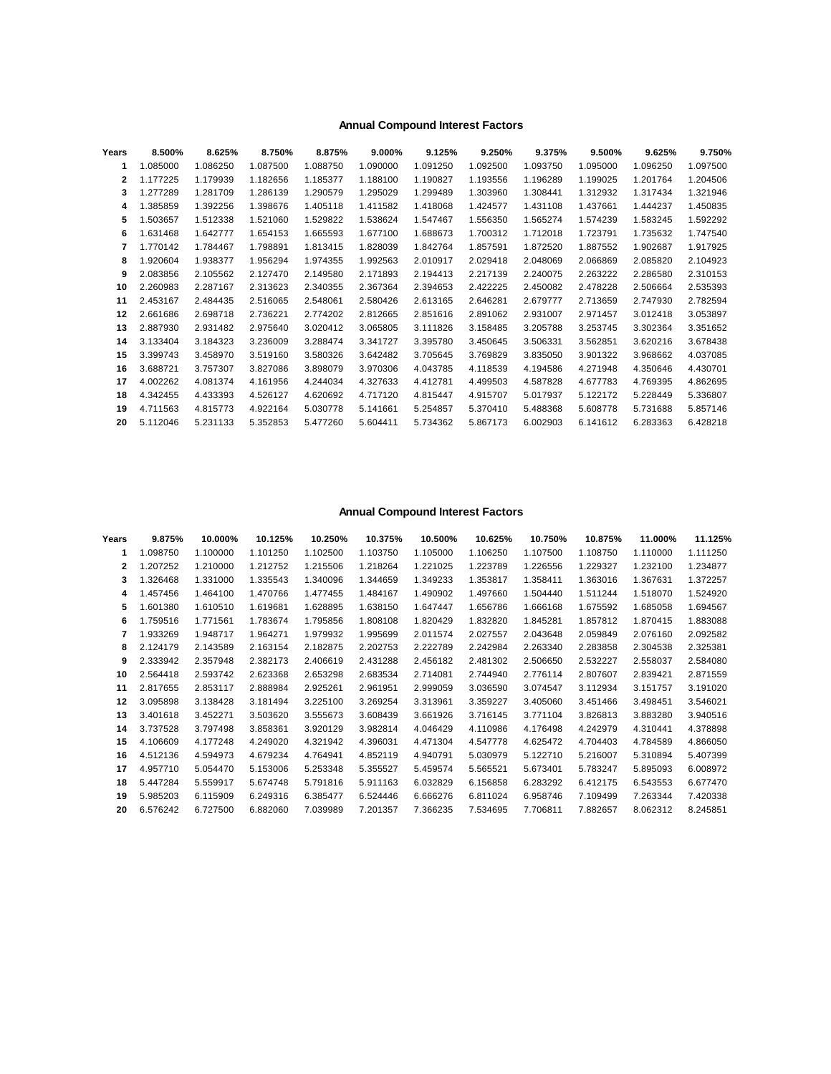| Years | 8.500%   | 8.625%   | 8.750%   | 8.875%   | 9.000%   | 9.125%   | 9.250%   | 9.375%   | 9.500%   | 9.625%   | 9.750%   |
|-------|----------|----------|----------|----------|----------|----------|----------|----------|----------|----------|----------|
| 1     | 1.085000 | 1.086250 | 1.087500 | 1.088750 | 1.090000 | 1.091250 | 1.092500 | 1.093750 | 1.095000 | 1.096250 | 1.097500 |
| 2     | 1.177225 | 1.179939 | 1.182656 | 1.185377 | 1.188100 | 1.190827 | 1.193556 | 1.196289 | 1.199025 | 1.201764 | 1.204506 |
| 3     | 1.277289 | 1.281709 | 1.286139 | 1.290579 | 1.295029 | 1.299489 | 1.303960 | 1.308441 | 1.312932 | 1.317434 | 1.321946 |
| 4     | 1.385859 | 1.392256 | 1.398676 | 1.405118 | 1.411582 | 1.418068 | 1.424577 | 1.431108 | 1.437661 | 1.444237 | 1.450835 |
| 5     | 1.503657 | 1.512338 | 1.521060 | 1.529822 | 1.538624 | 1.547467 | 1.556350 | 1.565274 | 1.574239 | 1.583245 | 1.592292 |
| 6     | 1.631468 | 1.642777 | 1.654153 | 1.665593 | 1.677100 | 1.688673 | 1.700312 | 1.712018 | 1.723791 | 1.735632 | 1.747540 |
| 7     | 1.770142 | 1.784467 | 1.798891 | 1.813415 | 1.828039 | 1.842764 | 1.857591 | 1.872520 | 1.887552 | 1.902687 | 1.917925 |
| 8     | 1.920604 | 1.938377 | 1.956294 | 1.974355 | 1.992563 | 2.010917 | 2.029418 | 2.048069 | 2.066869 | 2.085820 | 2.104923 |
| 9     | 2.083856 | 2.105562 | 2.127470 | 2.149580 | 2.171893 | 2.194413 | 2.217139 | 2.240075 | 2.263222 | 2.286580 | 2.310153 |
| 10    | 2.260983 | 2.287167 | 2.313623 | 2.340355 | 2.367364 | 2.394653 | 2.422225 | 2.450082 | 2.478228 | 2.506664 | 2.535393 |
| 11    | 2.453167 | 2.484435 | 2.516065 | 2.548061 | 2.580426 | 2.613165 | 2.646281 | 2.679777 | 2.713659 | 2.747930 | 2.782594 |
| 12    | 2.661686 | 2.698718 | 2.736221 | 2.774202 | 2.812665 | 2.851616 | 2.891062 | 2.931007 | 2.971457 | 3.012418 | 3.053897 |
| 13    | 2.887930 | 2.931482 | 2.975640 | 3.020412 | 3.065805 | 3.111826 | 3.158485 | 3.205788 | 3.253745 | 3.302364 | 3.351652 |
| 14    | 3.133404 | 3.184323 | 3.236009 | 3.288474 | 3.341727 | 3.395780 | 3.450645 | 3.506331 | 3.562851 | 3.620216 | 3.678438 |
| 15    | 3.399743 | 3.458970 | 3.519160 | 3.580326 | 3.642482 | 3.705645 | 3.769829 | 3.835050 | 3.901322 | 3.968662 | 4.037085 |
| 16    | 3.688721 | 3.757307 | 3.827086 | 3.898079 | 3.970306 | 4.043785 | 4.118539 | 4.194586 | 4.271948 | 4.350646 | 4.430701 |
| 17    | 4.002262 | 4.081374 | 4.161956 | 4.244034 | 4.327633 | 4.412781 | 4.499503 | 4.587828 | 4.677783 | 4.769395 | 4.862695 |
| 18    | 4.342455 | 4.433393 | 4.526127 | 4.620692 | 4.717120 | 4.815447 | 4.915707 | 5.017937 | 5.122172 | 5.228449 | 5.336807 |
| 19    | 4.711563 | 4.815773 | 4.922164 | 5.030778 | 5.141661 | 5.254857 | 5.370410 | 5.488368 | 5.608778 | 5.731688 | 5.857146 |
| 20    | 5.112046 | 5.231133 | 5.352853 | 5.477260 | 5.604411 | 5.734362 | 5.867173 | 6.002903 | 6.141612 | 6.283363 | 6.428218 |
|       |          |          |          |          |          |          |          |          |          |          |          |

| Years | 9.875%   | 10.000%  | 10.125%  | 10.250%  | 10.375%  | 10.500%  | 10.625%  | 10.750%  | 10.875%  | 11.000%  | 11.125%  |
|-------|----------|----------|----------|----------|----------|----------|----------|----------|----------|----------|----------|
| 1     | 1.098750 | 1.100000 | 1.101250 | 1.102500 | 1.103750 | 1.105000 | 1.106250 | 1.107500 | 1.108750 | 1.110000 | 1.111250 |
| 2     | 1.207252 | 1.210000 | 1.212752 | 1.215506 | 1.218264 | 1.221025 | 1.223789 | 1.226556 | 1.229327 | 1.232100 | 1.234877 |
| 3     | 1.326468 | 1.331000 | 1.335543 | 1.340096 | 1.344659 | 1.349233 | 1.353817 | 1.358411 | 1.363016 | 1.367631 | 1.372257 |
| 4     | 1.457456 | 1.464100 | 1.470766 | 1.477455 | 1.484167 | 1.490902 | 1.497660 | 1.504440 | 1.511244 | 1.518070 | 1.524920 |
| 5     | 1.601380 | 1.610510 | 1.619681 | 1.628895 | 1.638150 | 1.647447 | 1.656786 | 1.666168 | 1.675592 | 1.685058 | 1.694567 |
| 6     | 1.759516 | 1.771561 | 1.783674 | 1.795856 | 1.808108 | 1.820429 | 1.832820 | 1.845281 | 1.857812 | 1.870415 | 1.883088 |
| 7     | 1.933269 | 1.948717 | 1.964271 | 1.979932 | 1.995699 | 2.011574 | 2.027557 | 2.043648 | 2.059849 | 2.076160 | 2.092582 |
| 8     | 2.124179 | 2.143589 | 2.163154 | 2.182875 | 2.202753 | 2.222789 | 2.242984 | 2.263340 | 2.283858 | 2.304538 | 2.325381 |
| 9     | 2.333942 | 2.357948 | 2.382173 | 2.406619 | 2.431288 | 2.456182 | 2.481302 | 2.506650 | 2.532227 | 2.558037 | 2.584080 |
| 10    | 2.564418 | 2.593742 | 2.623368 | 2.653298 | 2.683534 | 2.714081 | 2.744940 | 2.776114 | 2.807607 | 2.839421 | 2.871559 |
| 11    | 2.817655 | 2.853117 | 2.888984 | 2.925261 | 2.961951 | 2.999059 | 3.036590 | 3.074547 | 3.112934 | 3.151757 | 3.191020 |
| 12    | 3.095898 | 3.138428 | 3.181494 | 3.225100 | 3.269254 | 3.313961 | 3.359227 | 3.405060 | 3.451466 | 3.498451 | 3.546021 |
| 13    | 3.401618 | 3.452271 | 3.503620 | 3.555673 | 3.608439 | 3.661926 | 3.716145 | 3.771104 | 3.826813 | 3.883280 | 3.940516 |
| 14    | 3.737528 | 3.797498 | 3.858361 | 3.920129 | 3.982814 | 4.046429 | 4.110986 | 4.176498 | 4.242979 | 4.310441 | 4.378898 |
| 15    | 4.106609 | 4.177248 | 4.249020 | 4.321942 | 4.396031 | 4.471304 | 4.547778 | 4.625472 | 4.704403 | 4.784589 | 4.866050 |
| 16    | 4.512136 | 4.594973 | 4.679234 | 4.764941 | 4.852119 | 4.940791 | 5.030979 | 5.122710 | 5.216007 | 5.310894 | 5.407399 |
| 17    | 4.957710 | 5.054470 | 5.153006 | 5.253348 | 5.355527 | 5.459574 | 5.565521 | 5.673401 | 5.783247 | 5.895093 | 6.008972 |
| 18    | 5.447284 | 5.559917 | 5.674748 | 5.791816 | 5.911163 | 6.032829 | 6.156858 | 6.283292 | 6.412175 | 6.543553 | 6.677470 |
| 19    | 5.985203 | 6.115909 | 6.249316 | 6.385477 | 6.524446 | 6.666276 | 6.811024 | 6.958746 | 7.109499 | 7.263344 | 7.420338 |
| 20    | 6.576242 | 6.727500 | 6.882060 | 7.039989 | 7.201357 | 7.366235 | 7.534695 | 7.706811 | 7.882657 | 8.062312 | 8.245851 |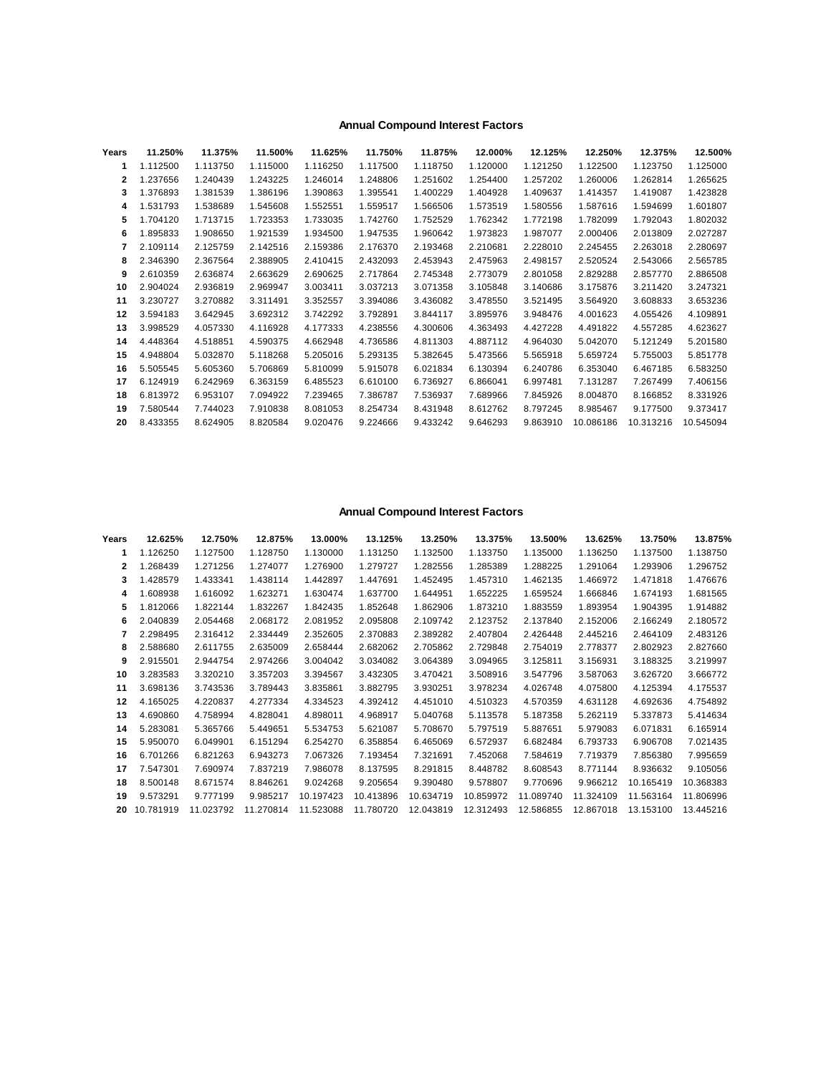| Years        | 11.250%  | 11.375%  | 11.500%  | 11.625%  | 11.750%  | 11.875%  | 12.000%  | 12.125%  | 12.250%   | 12.375%   | 12.500%   |
|--------------|----------|----------|----------|----------|----------|----------|----------|----------|-----------|-----------|-----------|
| 1            | 1.112500 | 1.113750 | 1.115000 | 1.116250 | 1.117500 | 1.118750 | 1.120000 | 1.121250 | 1.122500  | 1.123750  | 1.125000  |
| $\mathbf{2}$ | 1.237656 | 1.240439 | 1.243225 | 1.246014 | 1.248806 | 1.251602 | 1.254400 | 1.257202 | 1.260006  | 1.262814  | 1.265625  |
| 3            | 1.376893 | 1.381539 | 1.386196 | 1.390863 | 1.395541 | 1.400229 | 1.404928 | 1.409637 | 1.414357  | 1.419087  | 1.423828  |
| 4            | 1.531793 | 1.538689 | 1.545608 | 1.552551 | 1.559517 | 1.566506 | 1.573519 | 1.580556 | 1.587616  | 1.594699  | 1.601807  |
| 5            | 1.704120 | 1.713715 | 1.723353 | 1.733035 | 1.742760 | 1.752529 | 1.762342 | 1.772198 | 1.782099  | 1.792043  | 1.802032  |
| 6            | 1.895833 | 1.908650 | 1.921539 | 1.934500 | 1.947535 | 1.960642 | 1.973823 | 1.987077 | 2.000406  | 2.013809  | 2.027287  |
| 7            | 2.109114 | 2.125759 | 2.142516 | 2.159386 | 2.176370 | 2.193468 | 2.210681 | 2.228010 | 2.245455  | 2.263018  | 2.280697  |
| 8            | 2.346390 | 2.367564 | 2.388905 | 2.410415 | 2.432093 | 2.453943 | 2.475963 | 2.498157 | 2.520524  | 2.543066  | 2.565785  |
| 9            | 2.610359 | 2.636874 | 2.663629 | 2.690625 | 2.717864 | 2.745348 | 2.773079 | 2.801058 | 2.829288  | 2.857770  | 2.886508  |
| 10           | 2.904024 | 2.936819 | 2.969947 | 3.003411 | 3.037213 | 3.071358 | 3.105848 | 3.140686 | 3.175876  | 3.211420  | 3.247321  |
| 11           | 3.230727 | 3.270882 | 3.311491 | 3.352557 | 3.394086 | 3.436082 | 3.478550 | 3.521495 | 3.564920  | 3.608833  | 3.653236  |
| 12           | 3.594183 | 3.642945 | 3.692312 | 3.742292 | 3.792891 | 3.844117 | 3.895976 | 3.948476 | 4.001623  | 4.055426  | 4.109891  |
| 13           | 3.998529 | 4.057330 | 4.116928 | 4.177333 | 4.238556 | 4.300606 | 4.363493 | 4.427228 | 4.491822  | 4.557285  | 4.623627  |
| 14           | 4.448364 | 4.518851 | 4.590375 | 4.662948 | 4.736586 | 4.811303 | 4.887112 | 4.964030 | 5.042070  | 5.121249  | 5.201580  |
| 15           | 4.948804 | 5.032870 | 5.118268 | 5.205016 | 5.293135 | 5.382645 | 5.473566 | 5.565918 | 5.659724  | 5.755003  | 5.851778  |
| 16           | 5.505545 | 5.605360 | 5.706869 | 5.810099 | 5.915078 | 6.021834 | 6.130394 | 6.240786 | 6.353040  | 6.467185  | 6.583250  |
| 17           | 6.124919 | 6.242969 | 6.363159 | 6.485523 | 6.610100 | 6.736927 | 6.866041 | 6.997481 | 7.131287  | 7.267499  | 7.406156  |
| 18           | 6.813972 | 6.953107 | 7.094922 | 7.239465 | 7.386787 | 7.536937 | 7.689966 | 7.845926 | 8.004870  | 8.166852  | 8.331926  |
| 19           | 7.580544 | 7.744023 | 7.910838 | 8.081053 | 8.254734 | 8.431948 | 8.612762 | 8.797245 | 8.985467  | 9.177500  | 9.373417  |
| 20           | 8.433355 | 8.624905 | 8.820584 | 9.020476 | 9.224666 | 9.433242 | 9.646293 | 9.863910 | 10.086186 | 10.313216 | 10.545094 |
|              |          |          |          |          |          |          |          |          |           |           |           |

| Years | 12.625%   | 12.750%   | 12.875%   | 13.000%   | 13.125%   | 13.250%   | 13.375%   | 13.500%   | 13.625%   | 13.750%   | 13.875%   |
|-------|-----------|-----------|-----------|-----------|-----------|-----------|-----------|-----------|-----------|-----------|-----------|
| 1     | 1.126250  | 1.127500  | 1.128750  | 1.130000  | 1.131250  | 1.132500  | 1.133750  | 1.135000  | 1.136250  | 1.137500  | 1.138750  |
| 2     | 1.268439  | 1.271256  | 1.274077  | 1.276900  | 1.279727  | 1.282556  | 1.285389  | 1.288225  | 1.291064  | 1.293906  | 1.296752  |
| 3     | 1.428579  | 1.433341  | 1.438114  | 1.442897  | 1.447691  | 1.452495  | 1.457310  | 1.462135  | 1.466972  | 1.471818  | 1.476676  |
| 4     | 1.608938  | 1.616092  | 1.623271  | 1.630474  | 1.637700  | 1.644951  | 1.652225  | 1.659524  | 1.666846  | 1.674193  | 1.681565  |
| 5     | 1.812066  | 1.822144  | 1.832267  | 1.842435  | 1.852648  | 1.862906  | 1.873210  | 1.883559  | 1.893954  | 1.904395  | 1.914882  |
| 6     | 2.040839  | 2.054468  | 2.068172  | 2.081952  | 2.095808  | 2.109742  | 2.123752  | 2.137840  | 2.152006  | 2.166249  | 2.180572  |
| 7     | 2.298495  | 2.316412  | 2.334449  | 2.352605  | 2.370883  | 2.389282  | 2.407804  | 2.426448  | 2.445216  | 2.464109  | 2.483126  |
| 8     | 2.588680  | 2.611755  | 2.635009  | 2.658444  | 2.682062  | 2.705862  | 2.729848  | 2.754019  | 2.778377  | 2.802923  | 2.827660  |
| 9     | 2.915501  | 2.944754  | 2.974266  | 3.004042  | 3.034082  | 3.064389  | 3.094965  | 3.125811  | 3.156931  | 3.188325  | 3.219997  |
| 10    | 3.283583  | 3.320210  | 3.357203  | 3.394567  | 3.432305  | 3.470421  | 3.508916  | 3.547796  | 3.587063  | 3.626720  | 3.666772  |
| 11    | 3.698136  | 3.743536  | 3.789443  | 3.835861  | 3.882795  | 3.930251  | 3.978234  | 4.026748  | 4.075800  | 4.125394  | 4.175537  |
| 12    | 4.165025  | 4.220837  | 4.277334  | 4.334523  | 4.392412  | 4.451010  | 4.510323  | 4.570359  | 4.631128  | 4.692636  | 4.754892  |
| 13    | 4.690860  | 4.758994  | 4.828041  | 4.898011  | 4.968917  | 5.040768  | 5.113578  | 5.187358  | 5.262119  | 5.337873  | 5.414634  |
| 14    | 5.283081  | 5.365766  | 5.449651  | 5.534753  | 5.621087  | 5.708670  | 5.797519  | 5.887651  | 5.979083  | 6.071831  | 6.165914  |
| 15    | 5.950070  | 6.049901  | 6.151294  | 6.254270  | 6.358854  | 6.465069  | 6.572937  | 6.682484  | 6.793733  | 6.906708  | 7.021435  |
| 16    | 6.701266  | 6.821263  | 6.943273  | 7.067326  | 7.193454  | 7.321691  | 7.452068  | 7.584619  | 7.719379  | 7.856380  | 7.995659  |
| 17    | 7.547301  | 7.690974  | 7.837219  | 7.986078  | 8.137595  | 8.291815  | 8.448782  | 8.608543  | 8.771144  | 8.936632  | 9.105056  |
| 18    | 8.500148  | 8.671574  | 8.846261  | 9.024268  | 9.205654  | 9.390480  | 9.578807  | 9.770696  | 9.966212  | 10.165419 | 10.368383 |
| 19    | 9.573291  | 9.777199  | 9.985217  | 10.197423 | 10.413896 | 10.634719 | 10.859972 | 11.089740 | 11.324109 | 11.563164 | 11.806996 |
| 20    | 10.781919 | 11.023792 | 11.270814 | 11.523088 | 11.780720 | 12.043819 | 12.312493 | 12.586855 | 12.867018 | 13.153100 | 13.445216 |